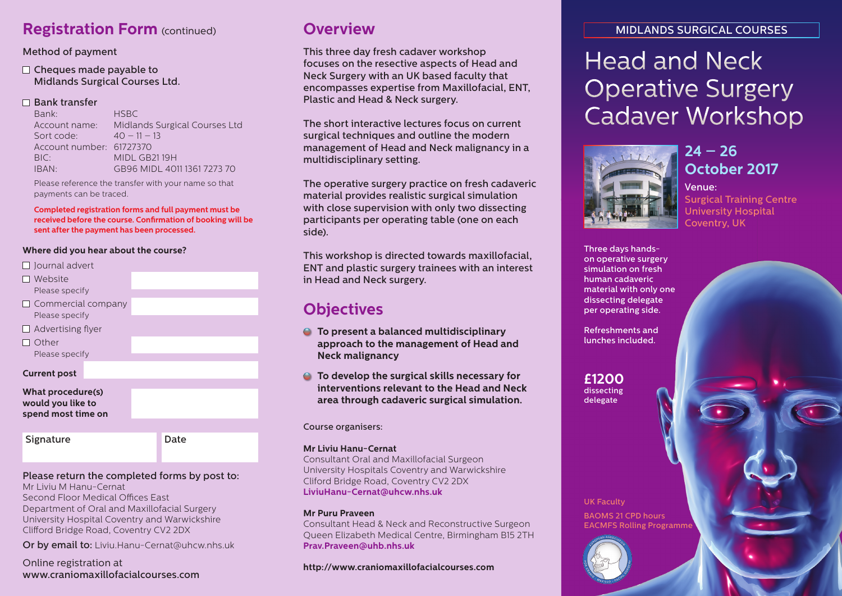## **Registration Form** (continued) **Overview**

### Method of payment

### $\Box$  Cheques made payable to Midlands Surgical Courses Ltd.

### $\Box$  Bank transfer

Bank: HSBC Account name: Midlands Surgical Courses Ltd Sort code:  $40 - 11 - 13$ Account number: 61727370 BIC: MIDL GB21 19H IBAN: GB96 MIDL 4011 1361 7273 70

Please reference the transfer with your name so that payments can be traced.

**Completed registration forms and full payment must be received before the course. Confirmation of booking will be sent after the payment has been processed.**

### **Where did you hear about the course?**

- $\Box$  lournal advert
- Website Please specify
- $\Box$  Commercial company Please specify
- $\Box$  Advertising flyer
- $\Box$  Other Please specify

**Current post**

#### **What procedure(s) would you like to spend most time on**

Signature Date

### Please return the completed forms by post to:

Mr Liviu M Hanu-Cernat Second Floor Medical Offices East Department of Oral and Maxillofacial Surgery University Hospital Coventry and Warwickshire Clifford Bridge Road, Coventry CV2 2DX

Or by email to: Liviu.Hanu-Cernat@uhcw.nhs.uk

Online registration at www.craniomaxillofacialcourses.com

This three day fresh cadaver workshop focuses on the resective aspects of Head and Neck Surgery with an UK based faculty that encompasses expertise from Maxillofacial, ENT, Plastic and Head & Neck surgery.

The short interactive lectures focus on current surgical techniques and outline the modern management of Head and Neck malignancy in a multidisciplinary setting.

The operative surgery practice on fresh cadaveric material provides realistic surgical simulation with close supervision with only two dissecting participants per operating table (one on each side).

This workshop is directed towards maxillofacial, ENT and plastic surgery trainees with an interest in Head and Neck surgery.

## **Objectives**

- **To present a balanced multidisciplinary approach to the management of Head and Neck malignancy**
- **To develop the surgical skills necessary for interventions relevant to the Head and Neck area through cadaveric surgical simulation.**

### Course organisers:

### **Mr Liviu Hanu-Cernat**

Consultant Oral and Maxillofacial Surgeon University Hospitals Coventry and Warwickshire Cliford Bridge Road, Coventry CV2 2DX **LiviuHanu-Cernat@uhcw.nhs.uk**

### **Mr Puru Praveen**

Consultant Head & Neck and Reconstructive Surgeon Queen Elizabeth Medical Centre, Birmingham B15 2TH **Prav.Praveen@uhb.nhs.uk**

### **http://www.craniomaxillofacialcourses.com**

### MIDLANDS SURGICAL COURSES

# Head and Neck Operative Surgery Cadaver Workshop



### **24 – 26 October 2017**

### Venue:

Surgical Training Centre University Hospital Coventry, UK

Three days handson operative surgery simulation on fresh human cadaveric material with only one dissecting delegate per operating side.

Refreshments and lunches included.

**£1200** dissecting delegate

UK Faculty BAOMS 21 CPD hours EACMFS Rolling Programme